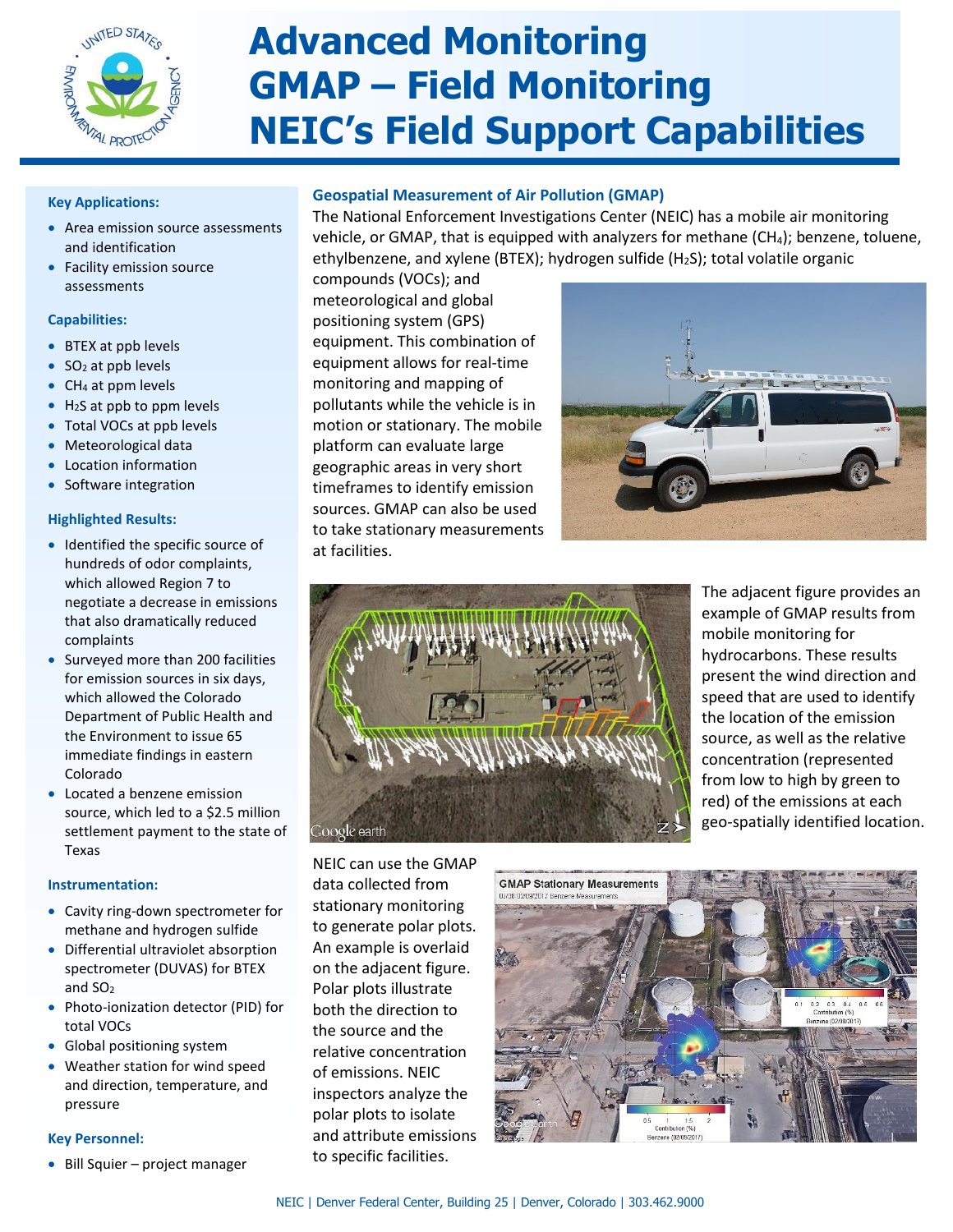

# **Advanced Monitoring GMAP – Field Monitoring NEIC's Field Support Capabilities**

#### **Key Applications:**

- Area emission source assessments and identification
- Facility emission source assessments

#### **Capabilities:**

- BTEX at ppb levels
- $\bullet$  SO<sub>2</sub> at ppb levels
- CH<sub>4</sub> at ppm levels
- $\bullet$  H<sub>2</sub>S at ppb to ppm levels
- Total VOCs at ppb levels
- Meteorological data
- Location information
- Software integration

#### **Highlighted Results:**

- Identified the specific source of hundreds of odor complaints, which allowed Region 7 to negotiate a decrease in emissions that also dramatically reduced complaints
- Surveyed more than 200 facilities for emission sources in six days, which allowed the Colorado Department of Public Health and the Environment to issue 65 immediate findings in eastern Colorado
- Located a benzene emission source, which led to a \$2.5 million settlement payment to the state of Texas

## **Instrumentation:**

- Cavity ring-down spectrometer for methane and hydrogen sulfide
- Differential ultraviolet absorption spectrometer (DUVAS) for BTEX and SO2
- Photo-ionization detector (PID) for total VOCs
- Global positioning system
- Weather station for wind speed and direction, temperature, and pressure

## **Key Personnel:**

• Bill Squier – project manager

# **Geospatial Measurement of Air Pollution (GMAP)**

The National Enforcement Investigations Center (NEIC) has a mobile air monitoring vehicle, or GMAP, that is equipped with analyzers for methane (CH<sub>4</sub>); benzene, toluene, ethylbenzene, and xylene (BTEX); hydrogen sulfide (H2S); total volatile organic

compounds (VOCs); and meteorological and global positioning system (GPS) equipment. This combination of equipment allows for real-time monitoring and mapping of pollutants while the vehicle is in motion or stationary. The mobile platform can evaluate large geographic areas in very short timeframes to identify emission sources. GMAP can also be used to take stationary measurements at facilities.





NEIC can use the GMAP data collected from stationary monitoring to generate polar plots. An example is overlaid on the adjacent figure. Polar plots illustrate both the direction to the source and the relative concentration of emissions. NEIC inspectors analyze the polar plots to isolate and attribute emissions to specific facilities.

The adjacent figure provides an example of GMAP results from mobile monitoring for hydrocarbons. These results present the wind direction and speed that are used to identify the location of the emission source, as well as the relative concentration (represented from low to high by green to red) of the emissions at each geo-spatially identified location.